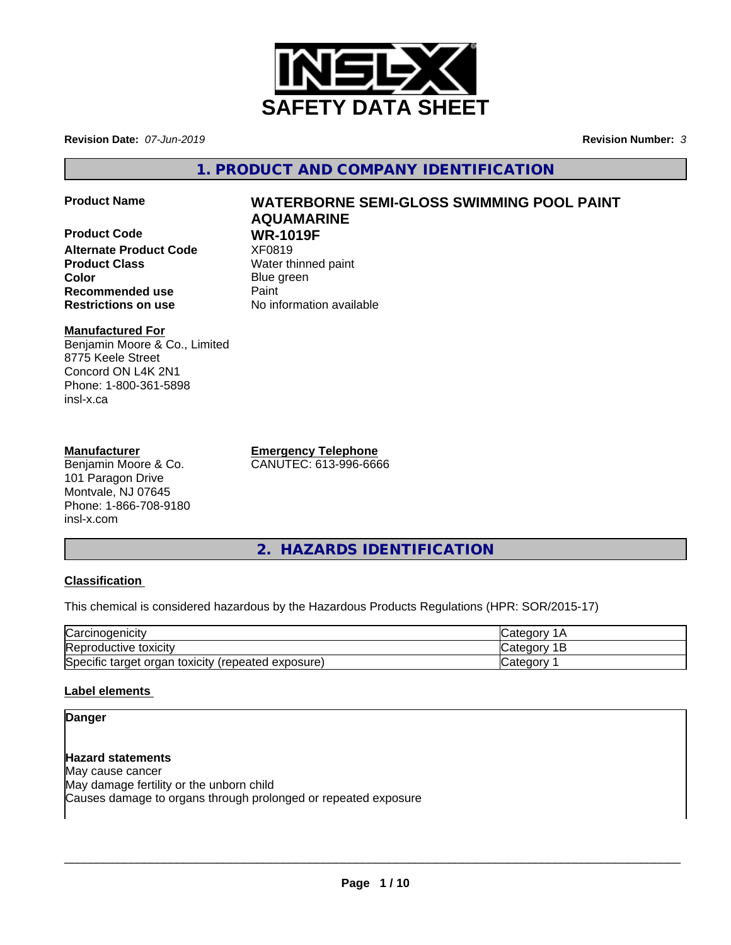

**Revision Date:** *07-Jun-2019* **Revision Number:** *3*

**1. PRODUCT AND COMPANY IDENTIFICATION**

- 
- **Product Code WR-1019F**<br>Alternate Product Code **XF0819 Alternate Product Code Product Class** Water thinned paint **Color** Blue green **Recommended use** Paint **Restrictions on use** No information available

# **Product Name WATERBORNE SEMI-GLOSS SWIMMING POOL PAINT AQUAMARINE**

# **Manufactured For**

Benjamin Moore & Co., Limited 8775 Keele Street Concord ON L4K 2N1 Phone: 1-800-361-5898 insl-x.ca

# **Manufacturer**

Benjamin Moore & Co. 101 Paragon Drive Montvale, NJ 07645 Phone: 1-866-708-9180 insl-x.com

**Emergency Telephone** CANUTEC: 613-996-6666

**2. HAZARDS IDENTIFICATION**

# **Classification**

This chemical is considered hazardous by the Hazardous Products Regulations (HPR: SOR/2015-17)

| $\sim$<br>$\sim$ orough<br><b>Carcinogenicity</b>     | $\sim$<br>- 611            |
|-------------------------------------------------------|----------------------------|
| Reproductive toxicity                                 | ∩∩r\<br>. .<br><b>Udio</b> |
| Specific target organ toxicity<br>(repeated exposure) | <br>Categor                |

# **Label elements**

### **Danger**

**Hazard statements** May cause cancer May damage fertility or the unborn child Causes damage to organs through prolonged or repeated exposure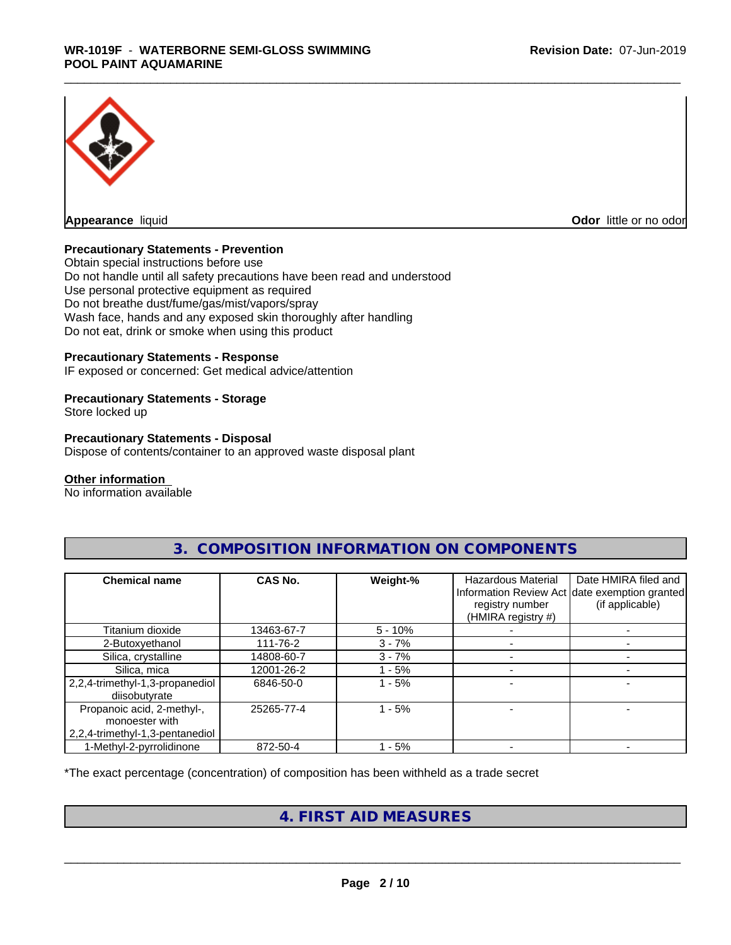

**Odor** little or no odor

#### **Precautionary Statements - Prevention**

Obtain special instructions before use Do not handle until all safety precautions have been read and understood Use personal protective equipment as required Do not breathe dust/fume/gas/mist/vapors/spray Wash face, hands and any exposed skin thoroughly after handling Do not eat, drink or smoke when using this product

#### **Precautionary Statements - Response**

IF exposed or concerned: Get medical advice/attention

#### **Precautionary Statements - Storage**

Store locked up

#### **Precautionary Statements - Disposal**

Dispose of contents/container to an approved waste disposal plant

#### **Other information**

No information available

| <b>Chemical name</b>                                                            | CAS No.    | Weight-%  | <b>Hazardous Material</b><br>registry number<br>(HMIRA registry #) | Date HMIRA filed and<br>Information Review Act date exemption granted<br>(if applicable) |
|---------------------------------------------------------------------------------|------------|-----------|--------------------------------------------------------------------|------------------------------------------------------------------------------------------|
| Titanium dioxide                                                                | 13463-67-7 | $5 - 10%$ |                                                                    |                                                                                          |
| 2-Butoxyethanol                                                                 | 111-76-2   | $3 - 7%$  |                                                                    |                                                                                          |
| Silica, crystalline                                                             | 14808-60-7 | $3 - 7%$  |                                                                    |                                                                                          |
| Silica, mica                                                                    | 12001-26-2 | - 5%      |                                                                    |                                                                                          |
| 2,2,4-trimethyl-1,3-propanediol<br>diisobutyrate                                | 6846-50-0  | $-5%$     |                                                                    |                                                                                          |
| Propanoic acid, 2-methyl-,<br>monoester with<br>2,2,4-trimethyl-1,3-pentanediol | 25265-77-4 | $-5%$     |                                                                    |                                                                                          |
| 1-Methyl-2-pyrrolidinone                                                        | 872-50-4   | - 5%      |                                                                    |                                                                                          |

# **3. COMPOSITION INFORMATION ON COMPONENTS**

\*The exact percentage (concentration) of composition has been withheld as a trade secret

# **4. FIRST AID MEASURES**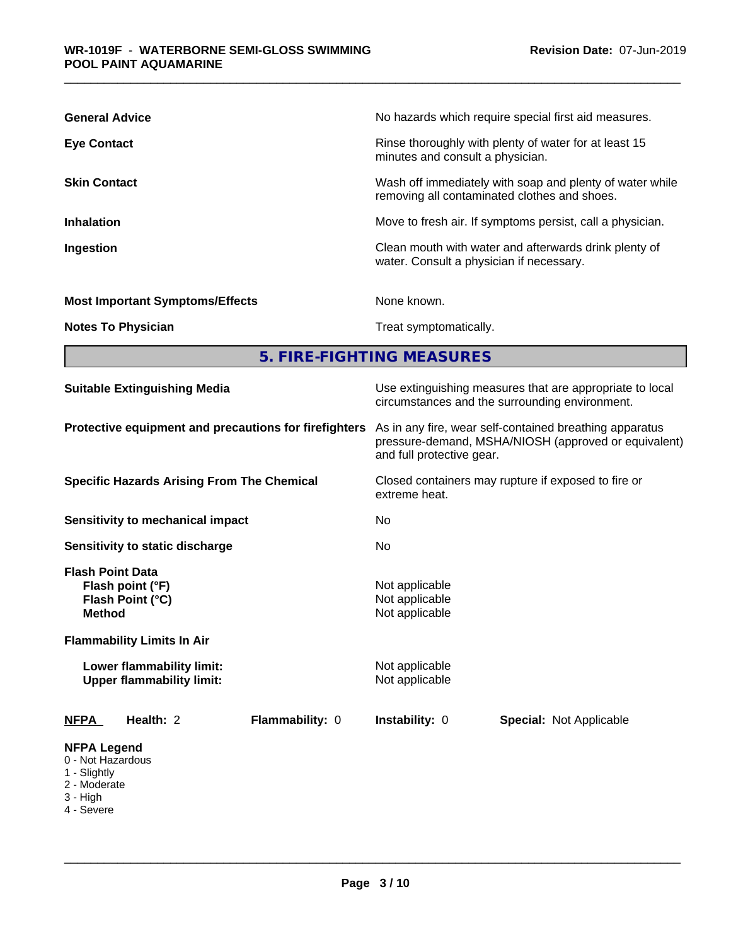| <b>General Advice</b>                  | No hazards which require special first aid measures.                                                     |
|----------------------------------------|----------------------------------------------------------------------------------------------------------|
| <b>Eye Contact</b>                     | Rinse thoroughly with plenty of water for at least 15<br>minutes and consult a physician.                |
| <b>Skin Contact</b>                    | Wash off immediately with soap and plenty of water while<br>removing all contaminated clothes and shoes. |
| <b>Inhalation</b>                      | Move to fresh air. If symptoms persist, call a physician.                                                |
| Ingestion                              | Clean mouth with water and afterwards drink plenty of<br>water. Consult a physician if necessary.        |
| <b>Most Important Symptoms/Effects</b> | None known.                                                                                              |
| <b>Notes To Physician</b>              | Treat symptomatically.                                                                                   |

**5. FIRE-FIGHTING MEASURES**

| <b>Suitable Extinguishing Media</b>                                                                                   | Use extinguishing measures that are appropriate to local<br>circumstances and the surrounding environment. | As in any fire, wear self-contained breathing apparatus<br>pressure-demand, MSHA/NIOSH (approved or equivalent)<br>and full protective gear. |  |  |  |
|-----------------------------------------------------------------------------------------------------------------------|------------------------------------------------------------------------------------------------------------|----------------------------------------------------------------------------------------------------------------------------------------------|--|--|--|
| Protective equipment and precautions for firefighters                                                                 |                                                                                                            |                                                                                                                                              |  |  |  |
| <b>Specific Hazards Arising From The Chemical</b>                                                                     | Closed containers may rupture if exposed to fire or<br>extreme heat.                                       |                                                                                                                                              |  |  |  |
| <b>Sensitivity to mechanical impact</b>                                                                               | No.                                                                                                        | No.                                                                                                                                          |  |  |  |
| Sensitivity to static discharge                                                                                       |                                                                                                            |                                                                                                                                              |  |  |  |
| <b>Flash Point Data</b><br>Flash point (°F)<br>Flash Point (°C)<br><b>Method</b><br><b>Flammability Limits In Air</b> | Not applicable<br>Not applicable<br>Not applicable                                                         |                                                                                                                                              |  |  |  |
| Lower flammability limit:<br><b>Upper flammability limit:</b>                                                         | Not applicable<br>Not applicable                                                                           |                                                                                                                                              |  |  |  |
| Health: 2<br>Flammability: 0<br><b>NFPA</b>                                                                           | Instability: 0<br><b>Special: Not Applicable</b>                                                           |                                                                                                                                              |  |  |  |
| <b>NFPA Legend</b><br>0 - Not Hazardous<br>1 - Slightly<br>2 - Moderate<br>3 - High                                   |                                                                                                            |                                                                                                                                              |  |  |  |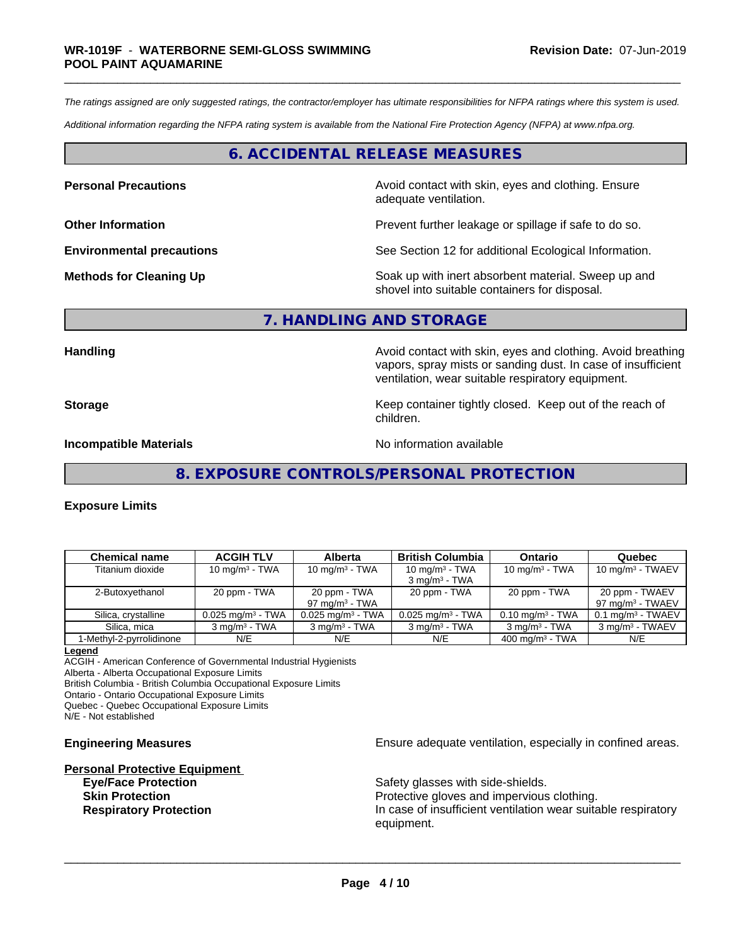*The ratings assigned are only suggested ratings, the contractor/employer has ultimate responsibilities for NFPA ratings where this system is used.*

*Additional information regarding the NFPA rating system is available from the National Fire Protection Agency (NFPA) at www.nfpa.org.*

# **6. ACCIDENTAL RELEASE MEASURES**

**Personal Precautions Avoid contact with skin, eyes and clothing. Ensure** Avoid contact with skin, eyes and clothing. Ensure adequate ventilation.

**Other Information Determined Information Prevent further leakage or spillage if safe to do so.** 

**Environmental precautions** See Section 12 for additional Ecological Information.

**Methods for Cleaning Up Example 20 Soak** up with inert absorbent material. Sweep up and shovel into suitable containers for disposal.

#### **7. HANDLING AND STORAGE**

Handling **Handling Handling Avoid contact with skin, eyes and clothing. Avoid breathing** vapors, spray mists or sanding dust. In case of insufficient ventilation, wear suitable respiratory equipment.

**Storage Keep container tightly closed. Keep out of the reach of the reach of the reach of the reach of the reach of the reach of the reach of the reach of the reach of the reach of the reach of the reach of the reach of** 

children.

**Incompatible Materials No information available No information available** 

**8. EXPOSURE CONTROLS/PERSONAL PROTECTION**

#### **Exposure Limits**

| <b>Chemical name</b>     | <b>ACGIH TLV</b>                | <b>Alberta</b>                    | <b>British Columbia</b>                       | Ontario                        | Quebec                                         |
|--------------------------|---------------------------------|-----------------------------------|-----------------------------------------------|--------------------------------|------------------------------------------------|
| Titanium dioxide         | $10 \text{ mg/m}^3$ - TWA       | 10 mg/m $3$ - TWA                 | 10 mg/m $3$ - TWA<br>$3 \text{ mg/m}^3$ - TWA | 10 mg/m $3$ - TWA              | $10 \text{ mg/m}^3$ - TWAEV                    |
| 2-Butoxyethanol          | 20 ppm - TWA                    | 20 ppm - TWA<br>97 mg/m $3$ - TWA | 20 ppm - TWA                                  | 20 ppm - TWA                   | 20 ppm - TWAEV<br>97 mg/m <sup>3</sup> - TWAEV |
| Silica, crystalline      | $0.025$ mg/m <sup>3</sup> - TWA | $0.025$ mg/m <sup>3</sup> - TWA   | $0.025$ mg/m <sup>3</sup> - TWA               | $0.10$ mg/m <sup>3</sup> - TWA | $0.1$ ma/m <sup>3</sup> - TWAEV                |
| Silica, mica             | $3 \text{ ma/m}^3$ - TWA        | $3 \text{ ma/m}^3$ - TWA          | $3 \text{ ma/m}^3$ - TWA                      | $3 \text{ mg/m}^3$ - TWA       | 3 mg/m <sup>3</sup> - TWAEV                    |
| 1-Methyl-2-pyrrolidinone | N/E                             | N/E                               | N/E                                           | $400 \text{ mg/m}^3$ - TWA     | N/E                                            |

**Legend**

ACGIH - American Conference of Governmental Industrial Hygienists Alberta - Alberta Occupational Exposure Limits British Columbia - British Columbia Occupational Exposure Limits

Ontario - Ontario Occupational Exposure Limits

Quebec - Quebec Occupational Exposure Limits

N/E - Not established

# **Personal Protective Equipment Eye/Face Protection** Safety glasses with side-shields.

**Engineering Measures Ensure** Ensure adequate ventilation, especially in confined areas.

**Skin Protection Protection Protective gloves and impervious clothing. Respiratory Protection In case of insufficient ventilation wear suitable respiratory** equipment.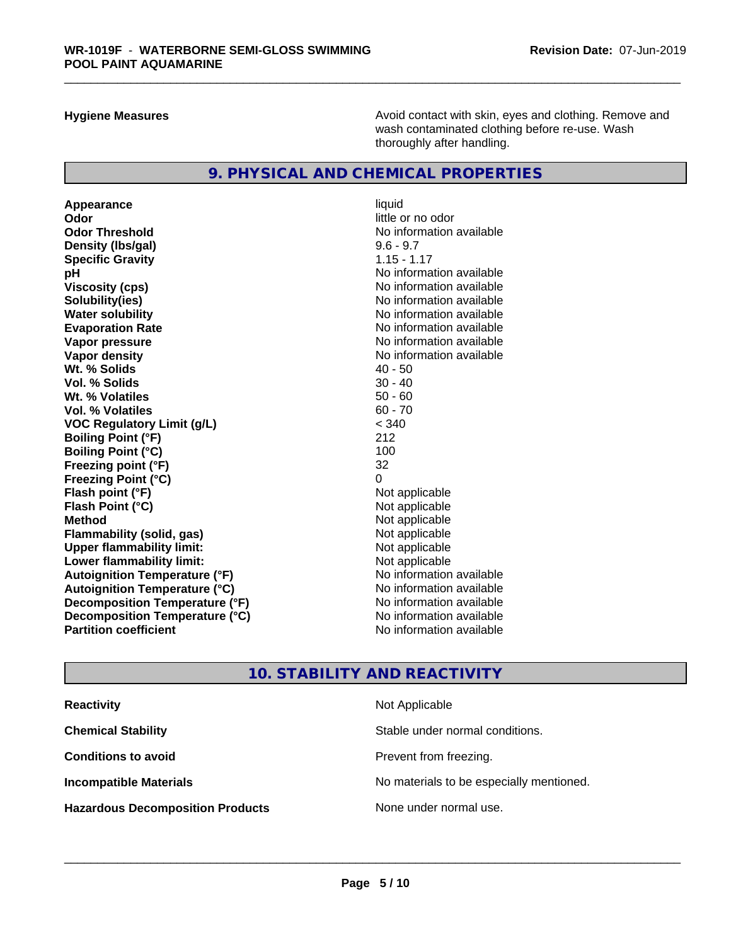**Hygiene Measures Avoid contact with skin, eyes and clothing. Remove and Avoid contact with skin, eyes and clothing. Remove and Avoid contact with skin, eyes and clothing. Remove and** wash contaminated clothing before re-use. Wash thoroughly after handling.

# **9. PHYSICAL AND CHEMICAL PROPERTIES**

**Appearance** liquid **Odor** little or no odor **Odor Threshold** No information available **Density (Ibs/gal)** 9.6 - 9.7 **Specific Gravity** 1.15 - 1.17 **pH** No information available **Viscosity (cps)** No information available **Solubility(ies)** No information available **Evaporation Rate No information available No information available Vapor pressure** No information available **Vapor density No information available No** information available **Wt. % Solids** 40 - 50 **Vol. % Solids Wt. % Volatiles** 50 - 60 **Vol. % Volatiles** 60 - 70 **VOC Regulatory Limit (g/L)** < 340 **Boiling Point (°F)** 212 **Boiling Point (°C)** 100 **Freezing point (°F)** 32 **Freezing Point (°C)**<br> **Flash point (°F)**<br> **Flash point (°F)**<br> **Point (°F)**<br> **Point (°F)**<br> **Point (°F)**<br> **Point (°F)**<br> **Point (°F) Flash point (°F)**<br> **Flash Point (°C)**<br> **Flash Point (°C)**<br> **C Flash Point (°C) Method**<br> **Flammability (solid, gas)**<br> **Example 2018** Not applicable **Flammability (solid, gas)**<br> **Upper flammability limit:**<br>
Upper flammability limit:<br>
Not applicable **Upper flammability limit: Lower flammability limit:**<br> **Autoignition Temperature (°F)** Not applicable havailable **Autoignition Temperature (°F) Autoignition Temperature (°C)** No information available **Decomposition Temperature (°F)** No information available **Decomposition Temperature (°C)** No information available **Partition coefficient Contract Community No information available** 

**No information available** 

# **10. STABILITY AND REACTIVITY**

| <b>Reactivity</b>                       | Not Applicable                           |
|-----------------------------------------|------------------------------------------|
| <b>Chemical Stability</b>               | Stable under normal conditions.          |
| <b>Conditions to avoid</b>              | Prevent from freezing.                   |
| <b>Incompatible Materials</b>           | No materials to be especially mentioned. |
| <b>Hazardous Decomposition Products</b> | None under normal use.                   |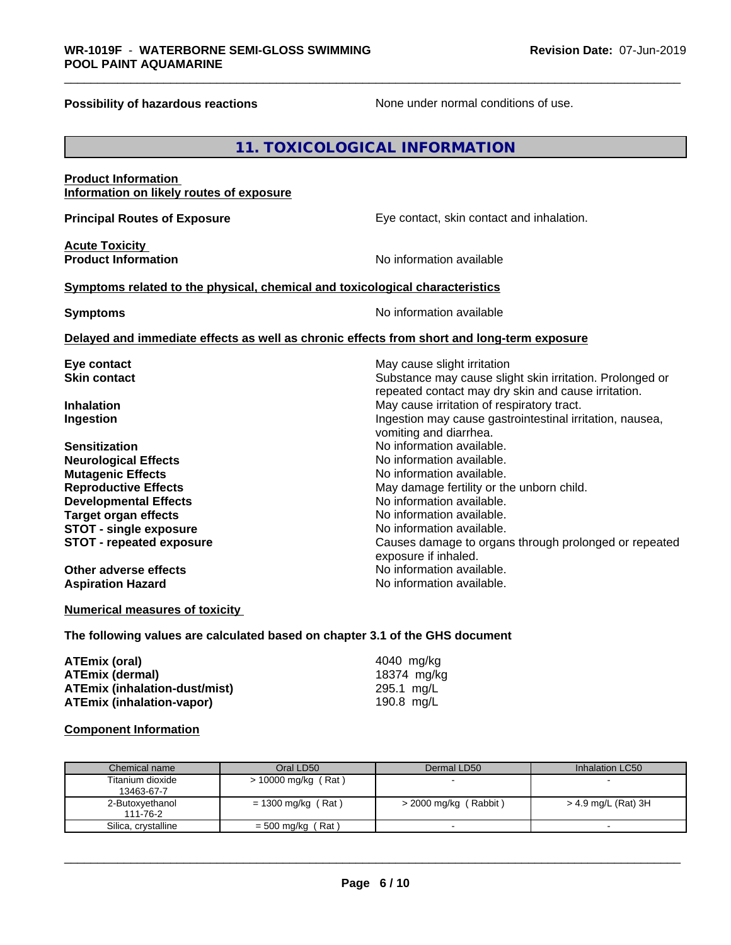**Possibility of hazardous reactions** None under normal conditions of use.

|                                                                                            | 11. TOXICOLOGICAL INFORMATION                                                                                                                  |
|--------------------------------------------------------------------------------------------|------------------------------------------------------------------------------------------------------------------------------------------------|
| <b>Product Information</b><br>Information on likely routes of exposure                     |                                                                                                                                                |
| <b>Principal Routes of Exposure</b>                                                        | Eye contact, skin contact and inhalation.                                                                                                      |
| <b>Acute Toxicity</b><br><b>Product Information</b>                                        | No information available                                                                                                                       |
| Symptoms related to the physical, chemical and toxicological characteristics               |                                                                                                                                                |
| <b>Symptoms</b>                                                                            | No information available                                                                                                                       |
|                                                                                            | Delayed and immediate effects as well as chronic effects from short and long-term exposure                                                     |
| Eye contact<br><b>Skin contact</b>                                                         | May cause slight irritation<br>Substance may cause slight skin irritation. Prolonged or<br>repeated contact may dry skin and cause irritation. |
| <b>Inhalation</b><br>Ingestion                                                             | May cause irritation of respiratory tract.<br>Ingestion may cause gastrointestinal irritation, nausea,<br>vomiting and diarrhea.               |
| <b>Sensitization</b><br><b>Neurological Effects</b><br><b>Mutagenic Effects</b>            | No information available.<br>No information available.<br>No information available.                                                            |
| <b>Reproductive Effects</b><br><b>Developmental Effects</b><br><b>Target organ effects</b> | May damage fertility or the unborn child.<br>No information available.<br>No information available.                                            |
| <b>STOT - single exposure</b><br><b>STOT - repeated exposure</b>                           | No information available.<br>Causes damage to organs through prolonged or repeated<br>exposure if inhaled.                                     |
| <b>Other adverse effects</b><br><b>Aspiration Hazard</b>                                   | No information available.<br>No information available.                                                                                         |
| <b>Numerical measures of toxicity</b>                                                      |                                                                                                                                                |
| The following values are calculated based on chapter 3.1 of the GHS document               |                                                                                                                                                |

| ATEmix (oral)                        | 4040 ma/ka   |
|--------------------------------------|--------------|
| <b>ATEmix (dermal)</b>               | 18374 mg/kg  |
| <b>ATEmix (inhalation-dust/mist)</b> | 295.1 mg/L   |
| <b>ATEmix (inhalation-vapor)</b>     | 190.8 $mq/L$ |

### **Component Information**

| Chemical name       | Oral LD50             | Dermal LD50              | Inhalation LC50     |
|---------------------|-----------------------|--------------------------|---------------------|
| Titanium dioxide    | $> 10000$ mg/kg (Rat) | $\overline{\phantom{0}}$ |                     |
| 13463-67-7          |                       |                          |                     |
| 2-Butoxyethanol     | = 1300 mg/kg (Rat)    | $>$ 2000 mg/kg (Rabbit)  | > 4.9 mg/L (Rat) 3H |
| 111-76-2            |                       |                          |                     |
| Silica, crystalline | $=$ 500 mg/kg (Rat)   | $\overline{\phantom{0}}$ |                     |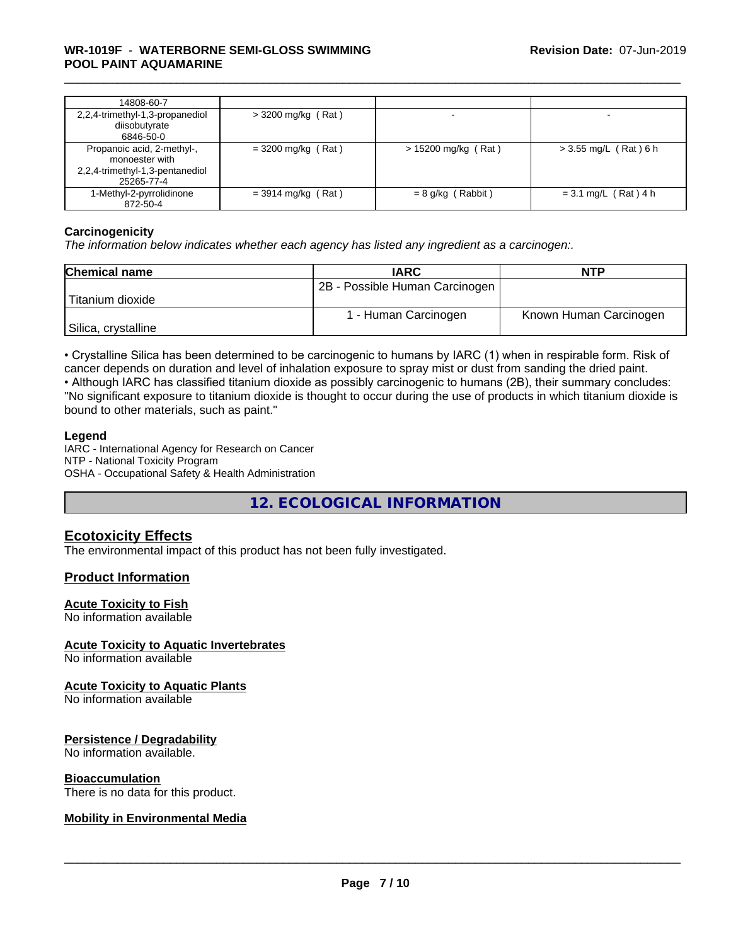### \_\_\_\_\_\_\_\_\_\_\_\_\_\_\_\_\_\_\_\_\_\_\_\_\_\_\_\_\_\_\_\_\_\_\_\_\_\_\_\_\_\_\_\_\_\_\_\_\_\_\_\_\_\_\_\_\_\_\_\_\_\_\_\_\_\_\_\_\_\_\_\_\_\_\_\_\_\_\_\_\_\_\_\_\_\_\_\_\_\_\_\_\_ **WR-1019F** - **WATERBORNE SEMI-GLOSS SWIMMING POOL PAINT AQUAMARINE**

| 14808-60-7                                                                                    |                      |                       |                         |
|-----------------------------------------------------------------------------------------------|----------------------|-----------------------|-------------------------|
| 2,2,4-trimethyl-1,3-propanediol<br>diisobutyrate<br>6846-50-0                                 | $>$ 3200 mg/kg (Rat) |                       |                         |
| Propanoic acid, 2-methyl-,<br>monoester with<br>2,2,4-trimethyl-1,3-pentanediol<br>25265-77-4 | $=$ 3200 mg/kg (Rat) | $> 15200$ mg/kg (Rat) | $>$ 3.55 mg/L (Rat) 6 h |
| 1-Methyl-2-pyrrolidinone<br>872-50-4                                                          | $=$ 3914 mg/kg (Rat) | $= 8$ g/kg (Rabbit)   | $= 3.1$ mg/L (Rat) 4 h  |

#### **Carcinogenicity**

*The information below indicateswhether each agency has listed any ingredient as a carcinogen:.*

| <b>Chemical name</b> | <b>IARC</b>                    | <b>NTP</b>             |
|----------------------|--------------------------------|------------------------|
|                      | 2B - Possible Human Carcinogen |                        |
| Titanium dioxide     |                                |                        |
|                      | 1 - Human Carcinogen           | Known Human Carcinogen |
| Silica, crystalline  |                                |                        |

• Crystalline Silica has been determined to be carcinogenic to humans by IARC (1) when in respirable form. Risk of cancer depends on duration and level of inhalation exposure to spray mist or dust from sanding the dried paint.

• Although IARC has classified titanium dioxide as possibly carcinogenic to humans (2B), their summary concludes: "No significant exposure to titanium dioxide is thought to occur during the use of products in which titanium dioxide is bound to other materials, such as paint."

#### **Legend**

IARC - International Agency for Research on Cancer NTP - National Toxicity Program OSHA - Occupational Safety & Health Administration

**12. ECOLOGICAL INFORMATION**

# **Ecotoxicity Effects**

The environmental impact of this product has not been fully investigated.

### **Product Information**

#### **Acute Toxicity to Fish**

No information available

#### **Acute Toxicity to Aquatic Invertebrates**

No information available

#### **Acute Toxicity to Aquatic Plants**

No information available

#### **Persistence / Degradability**

No information available.

#### **Bioaccumulation**

There is no data for this product.

#### **Mobility in Environmental Media**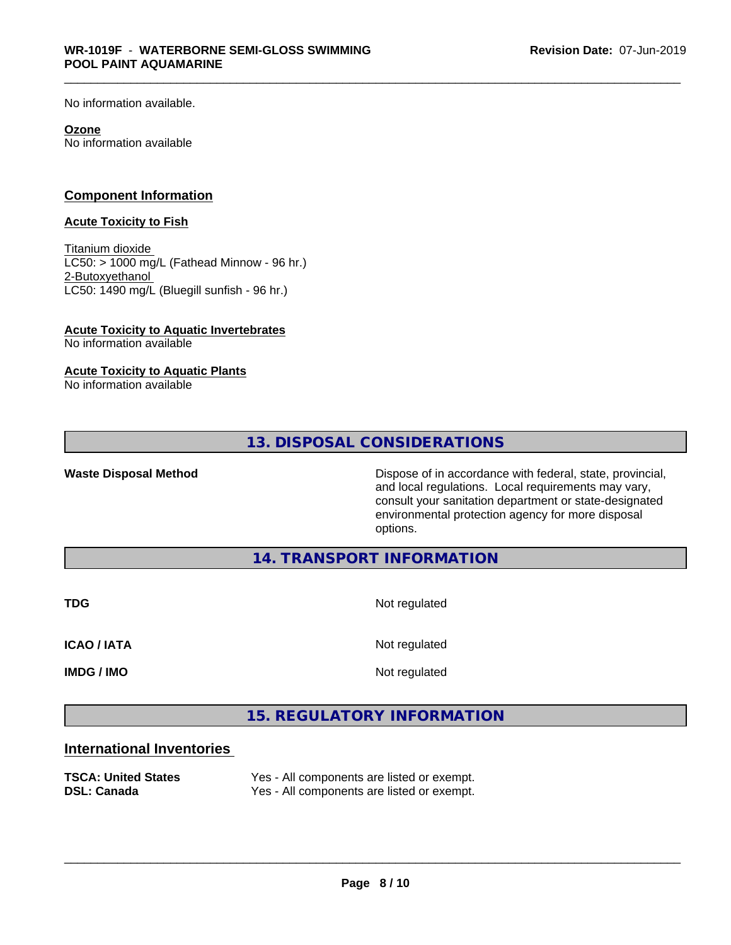No information available.

#### **Ozone**

No information available

### **Component Information**

#### **Acute Toxicity to Fish**

Titanium dioxide  $LCS0:$  > 1000 mg/L (Fathead Minnow - 96 hr.) 2-Butoxyethanol LC50: 1490 mg/L (Bluegill sunfish - 96 hr.)

# **Acute Toxicity to Aquatic Invertebrates**

No information available

### **Acute Toxicity to Aquatic Plants**

No information available

# **13. DISPOSAL CONSIDERATIONS**

Waste Disposal Method **Dispose of in accordance with federal, state, provincial,** and local regulations. Local requirements may vary, consult your sanitation department or state-designated environmental protection agency for more disposal options.

**14. TRANSPORT INFORMATION**

**TDG** Not regulated

**ICAO / IATA** Not regulated

**IMDG / IMO** Not regulated

 $\overline{\phantom{a}}$  ,  $\overline{\phantom{a}}$  ,  $\overline{\phantom{a}}$  ,  $\overline{\phantom{a}}$  ,  $\overline{\phantom{a}}$  ,  $\overline{\phantom{a}}$  ,  $\overline{\phantom{a}}$  ,  $\overline{\phantom{a}}$  ,  $\overline{\phantom{a}}$  ,  $\overline{\phantom{a}}$  ,  $\overline{\phantom{a}}$  ,  $\overline{\phantom{a}}$  ,  $\overline{\phantom{a}}$  ,  $\overline{\phantom{a}}$  ,  $\overline{\phantom{a}}$  ,  $\overline{\phantom{a}}$ 

# **15. REGULATORY INFORMATION**

# **International Inventories**

| <b>TSCA: United States</b> | Yes - All components are listed or exempt. |
|----------------------------|--------------------------------------------|
| <b>DSL: Canada</b>         | Yes - All components are listed or exempt. |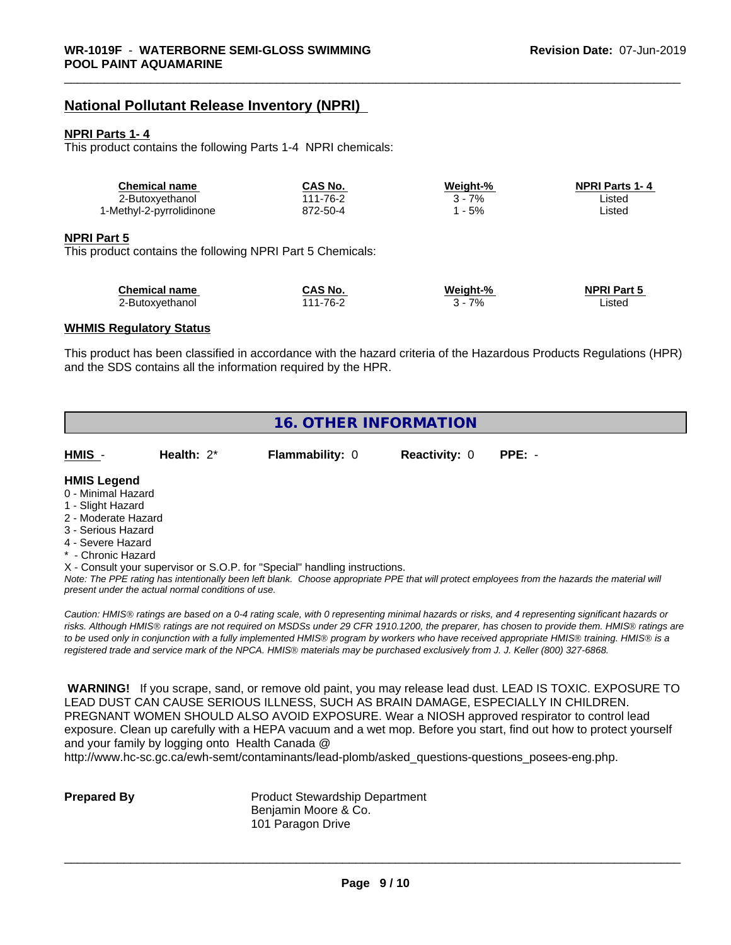# **National Pollutant Release Inventory (NPRI)**

#### **NPRI Parts 1- 4**

This product contains the following Parts 1-4 NPRI chemicals:

| Chemical name            | <b>CAS No.</b> | Weight-% | <b>NPRI Parts 1-4</b> |  |
|--------------------------|----------------|----------|-----------------------|--|
| 2-Butoxvethanol          | $1 - 76 - 2$   | 7%       | _istec                |  |
| 1-Methyl-2-pyrrolidinone | 872-50-4       | 5%       | ∟isted                |  |

#### **NPRI Part 5**

This product contains the following NPRI Part 5 Chemicals:

| <b>Chemical name</b> | CAS No.  | Weight-% | <b>NPRI Part 5</b> |
|----------------------|----------|----------|--------------------|
| 2-Butoxvethanol      | 111-76-2 | 7%       | ∟isted             |

#### **WHMIS Regulatory Status**

This product has been classified in accordance with the hazard criteria of the Hazardous Products Regulations (HPR) and the SDS contains all the information required by the HPR.

# **16. OTHER INFORMATION**

| HMIS - | Health: 2* | <b>Flammability: 0</b> | Reactivity: 0 PPE: - |  |
|--------|------------|------------------------|----------------------|--|
|        |            |                        |                      |  |

#### **HMIS Legend**

- 0 Minimal Hazard
- 1 Slight Hazard
- 2 Moderate Hazard
- 3 Serious Hazard
- 4 Severe Hazard
- Chronic Hazard

X - Consult your supervisor or S.O.P. for "Special" handling instructions.

*Note: The PPE rating has intentionally been left blank. Choose appropriate PPE that will protect employees from the hazards the material will present under the actual normal conditions of use.*

*Caution: HMISÒ ratings are based on a 0-4 rating scale, with 0 representing minimal hazards or risks, and 4 representing significant hazards or risks. Although HMISÒ ratings are not required on MSDSs under 29 CFR 1910.1200, the preparer, has chosen to provide them. HMISÒ ratings are to be used only in conjunction with a fully implemented HMISÒ program by workers who have received appropriate HMISÒ training. HMISÒ is a registered trade and service mark of the NPCA. HMISÒ materials may be purchased exclusively from J. J. Keller (800) 327-6868.*

 **WARNING!** If you scrape, sand, or remove old paint, you may release lead dust. LEAD IS TOXIC. EXPOSURE TO LEAD DUST CAN CAUSE SERIOUS ILLNESS, SUCH AS BRAIN DAMAGE, ESPECIALLY IN CHILDREN. PREGNANT WOMEN SHOULD ALSO AVOID EXPOSURE.Wear a NIOSH approved respirator to control lead exposure. Clean up carefully with a HEPA vacuum and a wet mop. Before you start, find out how to protect yourself and your family by logging onto Health Canada @

http://www.hc-sc.gc.ca/ewh-semt/contaminants/lead-plomb/asked\_questions-questions\_posees-eng.php.

**Prepared By** Product Stewardship Department Benjamin Moore & Co. 101 Paragon Drive